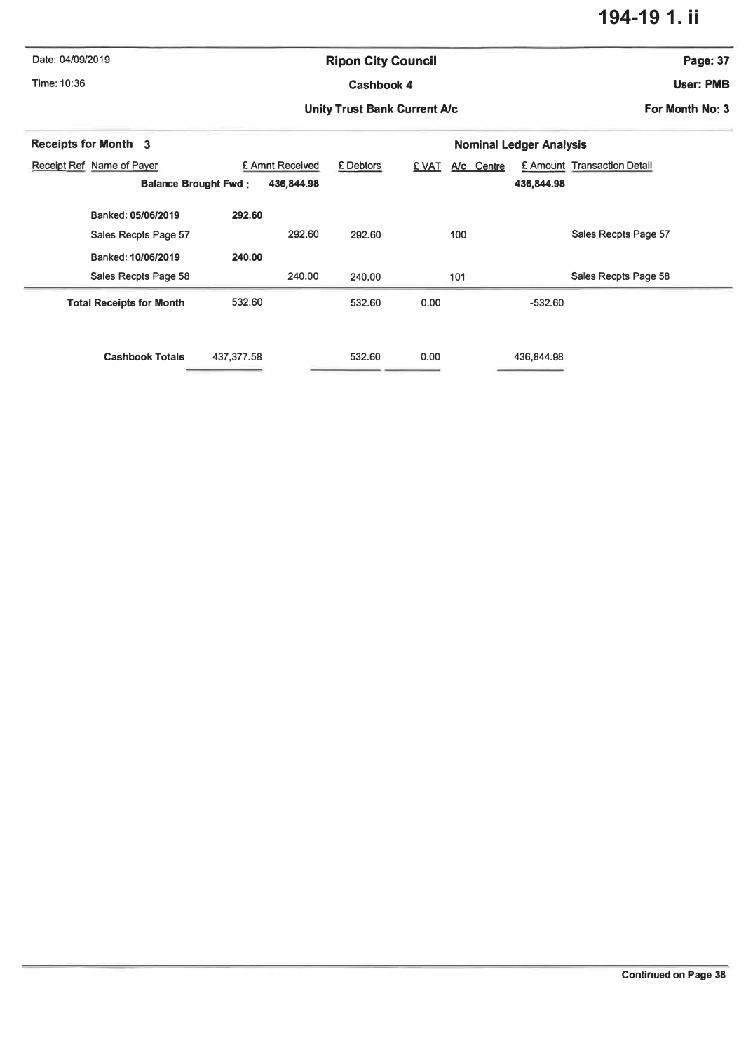## **194-19 1. ii**

| Date: 04/09/2019                 |                                           | <b>Ripon City Council</b>           |                     |                             |  |  |  |  |
|----------------------------------|-------------------------------------------|-------------------------------------|---------------------|-----------------------------|--|--|--|--|
| Time: 10:36                      |                                           | <b>Cashbook 4</b>                   |                     |                             |  |  |  |  |
|                                  |                                           | <b>Unity Trust Bank Current A/c</b> |                     |                             |  |  |  |  |
| <b>Receipts for Month 3</b>      |                                           | <b>Nominal Ledger Analysis</b>      |                     |                             |  |  |  |  |
| <b>Receipt Ref Name of Payer</b> | £ Amnt Received                           | £ Debtors                           | A/c Centre<br>E VAT | £ Amount Transaction Detail |  |  |  |  |
|                                  | 436,844.98<br><b>Balance Brought Fwd:</b> |                                     |                     | 436,844.98                  |  |  |  |  |
| Banked: 05/06/2019               | 292.60                                    |                                     |                     |                             |  |  |  |  |
| Sales Recpts Page 57             | 292.60                                    | 292.60                              | 100                 | Sales Recpts Page 57        |  |  |  |  |
| Banked: 10/06/2019               | 240.00                                    |                                     |                     |                             |  |  |  |  |
| Sales Recpts Page 58             | 240.00                                    | 240.00                              | 101                 | Sales Recpts Page 58        |  |  |  |  |
| <b>Total Receipts for Month</b>  | 532.60                                    | 532.60                              | 0.00                | $-532.60$                   |  |  |  |  |
| <b>Cashbook Totals</b>           | 437, 377.58                               | 532.60                              | 0.00                | 436,844.98                  |  |  |  |  |